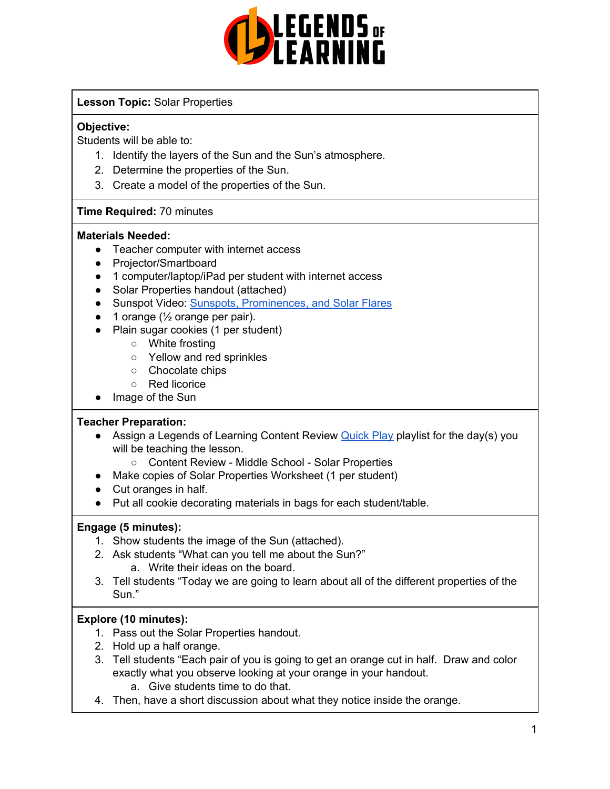

#### **Lesson Topic:** Solar Properties

#### **Objective:**

Students will be able to:

- 1. Identify the layers of the Sun and the Sun's atmosphere.
- 2. Determine the properties of the Sun.
- 3. Create a model of the properties of the Sun.

#### **Time Required:** 70 minutes

#### **Materials Needed:**

- Teacher computer with internet access
- Projector/Smartboard
- 1 computer/laptop/iPad per student with internet access
- Solar Properties handout (attached)
- Sunspot Video: Sunspots, [Prominences,](https://www.youtube.com/watch?v=LZrEUb-78sw) and Solar Flares
- $\bullet$  1 orange ( $\frac{1}{2}$  orange per pair).
- Plain sugar cookies (1 per student)
	- White frosting
	- Yellow and red sprinkles
	- Chocolate chips
	- Red licorice
- Image of the Sun

#### **Teacher Preparation:**

- Assign a Legends of Learning Content Review [Quick](https://intercom.help/legends-of-learning/en/articles/2701866-assigning-a-quick-play-playlist) Play playlist for the day(s) you will be teaching the lesson.
	- Content Review Middle School Solar Properties
- Make copies of Solar Properties Worksheet (1 per student)
- Cut oranges in half.
- Put all cookie decorating materials in bags for each student/table.

#### **Engage (5 minutes):**

- 1. Show students the image of the Sun (attached).
- 2. Ask students "What can you tell me about the Sun?"
	- a. Write their ideas on the board.
- 3. Tell students "Today we are going to learn about all of the different properties of the Sun."

#### **Explore (10 minutes):**

- 1. Pass out the Solar Properties handout.
- 2. Hold up a half orange.
- 3. Tell students "Each pair of you is going to get an orange cut in half. Draw and color exactly what you observe looking at your orange in your handout.
	- a. Give students time to do that.
- 4. Then, have a short discussion about what they notice inside the orange.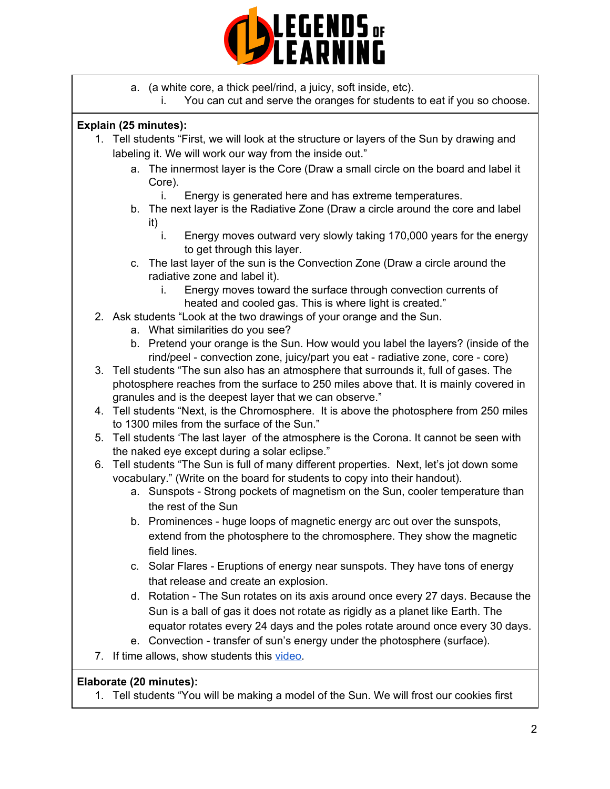

- a. (a white core, a thick peel/rind, a juicy, soft inside, etc).
	- i. You can cut and serve the oranges for students to eat if you so choose.

#### **Explain (25 minutes):**

- 1. Tell students "First, we will look at the structure or layers of the Sun by drawing and labeling it. We will work our way from the inside out."
	- a. The innermost layer is the Core (Draw a small circle on the board and label it Core).
		- i. Energy is generated here and has extreme temperatures.
	- b. The next layer is the Radiative Zone (Draw a circle around the core and label it)
		- i. Energy moves outward very slowly taking 170,000 years for the energy to get through this layer.
	- c. The last layer of the sun is the Convection Zone (Draw a circle around the radiative zone and label it).
		- i. Energy moves toward the surface through convection currents of heated and cooled gas. This is where light is created."
- 2. Ask students "Look at the two drawings of your orange and the Sun.
	- a. What similarities do you see?
	- b. Pretend your orange is the Sun. How would you label the layers? (inside of the rind/peel - convection zone, juicy/part you eat - radiative zone, core - core)
- 3. Tell students "The sun also has an atmosphere that surrounds it, full of gases. The photosphere reaches from the surface to 250 miles above that. It is mainly covered in granules and is the deepest layer that we can observe."
- 4. Tell students "Next, is the Chromosphere. It is above the photosphere from 250 miles to 1300 miles from the surface of the Sun."
- 5. Tell students 'The last layer of the atmosphere is the Corona. It cannot be seen with the naked eye except during a solar eclipse."
- 6. Tell students "The Sun is full of many different properties. Next, let's jot down some vocabulary." (Write on the board for students to copy into their handout).
	- a. Sunspots Strong pockets of magnetism on the Sun, cooler temperature than the rest of the Sun
	- b. Prominences huge loops of magnetic energy arc out over the sunspots, extend from the photosphere to the chromosphere. They show the magnetic field lines.
	- c. Solar Flares Eruptions of energy near sunspots. They have tons of energy that release and create an explosion.
	- d. Rotation The Sun rotates on its axis around once every 27 days. Because the Sun is a ball of gas it does not rotate as rigidly as a planet like Earth. The equator rotates every 24 days and the poles rotate around once every 30 days.
	- e. Convection transfer of sun's energy under the photosphere (surface).
- 7. If time allows, show students this [video.](https://www.youtube.com/watch?v=LZrEUb-78sw)

#### **Elaborate (20 minutes):**

1. Tell students "You will be making a model of the Sun. We will frost our cookies first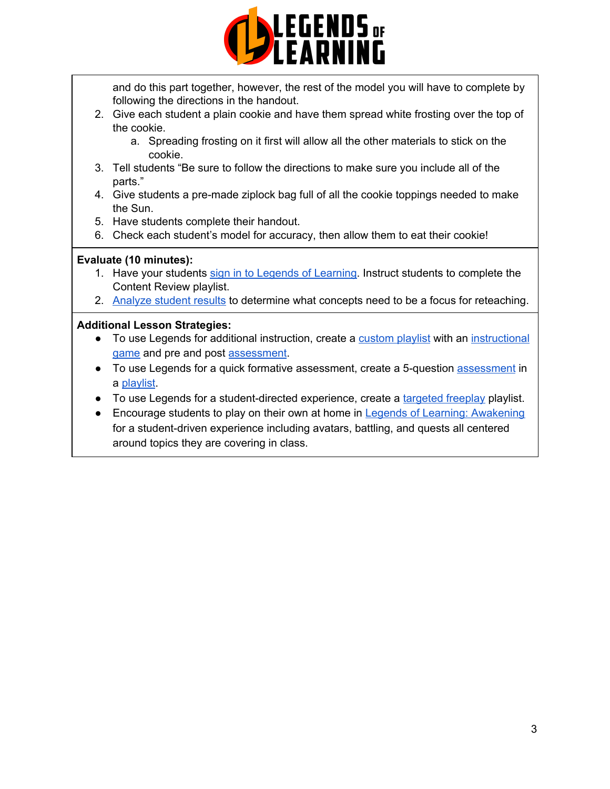

and do this part together, however, the rest of the model you will have to complete by following the directions in the handout.

- 2. Give each student a plain cookie and have them spread white frosting over the top of the cookie.
	- a. Spreading frosting on it first will allow all the other materials to stick on the cookie.
- 3. Tell students "Be sure to follow the directions to make sure you include all of the parts."
- 4. Give students a pre-made ziplock bag full of all the cookie toppings needed to make the Sun.
- 5. Have students complete their handout.
- 6. Check each student's model for accuracy, then allow them to eat their cookie!

#### **Evaluate (10 minutes):**

- 1. Have your students sign in to Legends of [Learning](https://intercom.help/legends-of-learning/en/articles/2154920-students-joining-a-playlist). Instruct students to complete the Content Review playlist.
- 2. [Analyze](https://intercom.help/legends-of-learning/en/articles/2154918-tracking-student-progress-and-performance) student results to determine what concepts need to be a focus for reteaching.

#### **Additional Lesson Strategies:**

- To use Legends for additional instruction, create a [custom](https://intercom.help/legends-of-learning/en/articles/2154910-creating-a-playlist) playlist with an [instructional](https://intercom.help/legends-of-learning/en/articles/3505828-types-of-games) [game](https://intercom.help/legends-of-learning/en/articles/3505828-types-of-games) and pre and post [assessment](https://intercom.help/legends-of-learning/en/articles/2154913-adding-assessments-to-a-playlist).
- To use Legends for a quick formative [assessment](https://intercom.help/legends-of-learning/en/articles/2154913-adding-assessments-to-a-playlist), create a 5-question assessment in a [playlist](https://intercom.help/legends-of-learning/en/articles/2154910-creating-a-playlist).
- To use Legends for a student-directed experience, create a [targeted](https://intercom.help/legends-of-learning/en/articles/3340814-targeted-freeplay) freeplay playlist.
- Encourage students to play on their own at home in Legends of Learning: [Awakening](https://intercom.help/legends-of-learning/en/articles/2425490-legends-of-learning-awakening) for a student-driven experience including avatars, battling, and quests all centered around topics they are covering in class.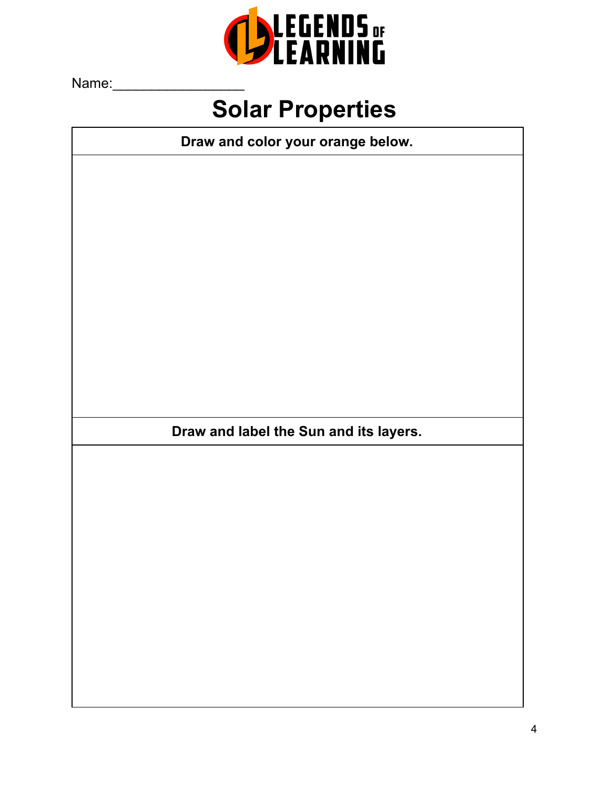

Name:

## **Solar Properties**

**Draw and color your orange below.**

**Draw and label the Sun and its layers.**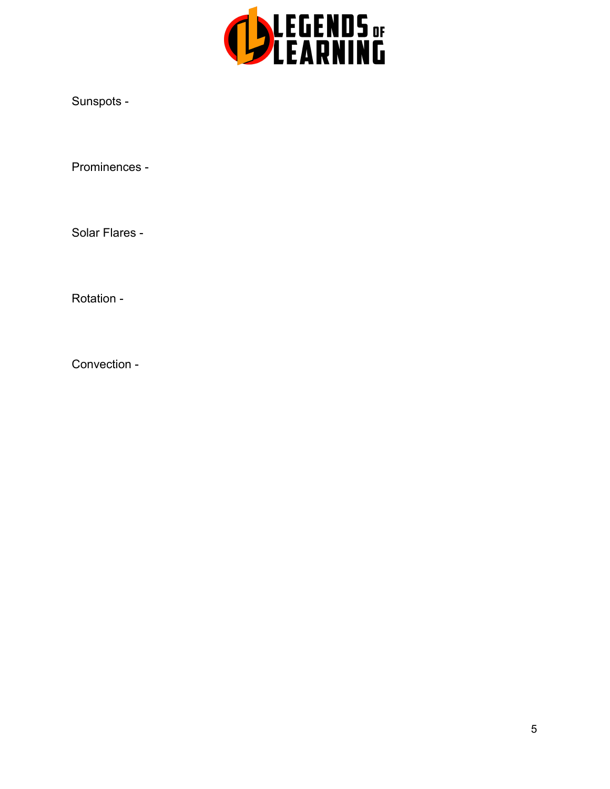

Sunspots -

Prominences -

Solar Flares -

Rotation -

Convection -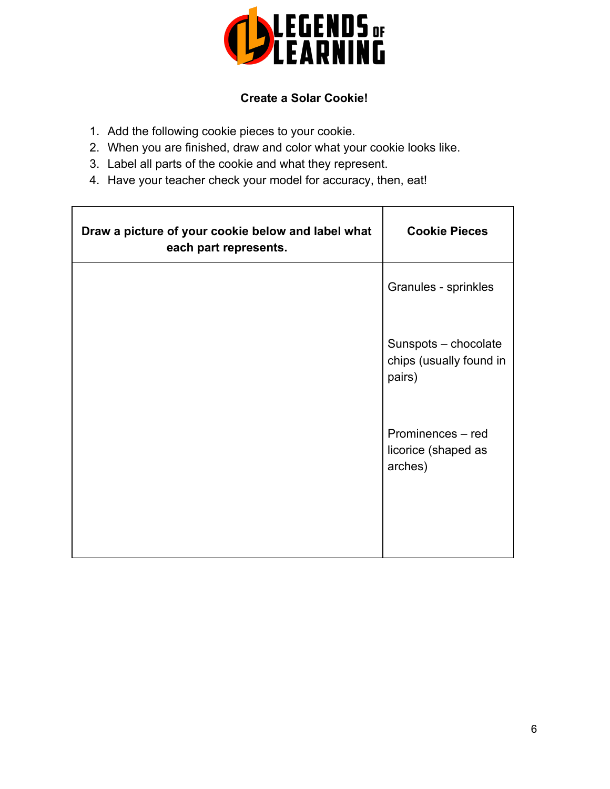

### **Create a Solar Cookie!**

- 1. Add the following cookie pieces to your cookie.
- 2. When you are finished, draw and color what your cookie looks like.
- 3. Label all parts of the cookie and what they represent.
- 4. Have your teacher check your model for accuracy, then, eat!

| Draw a picture of your cookie below and label what<br>each part represents. | <b>Cookie Pieces</b>                                      |
|-----------------------------------------------------------------------------|-----------------------------------------------------------|
|                                                                             | Granules - sprinkles                                      |
|                                                                             | Sunspots - chocolate<br>chips (usually found in<br>pairs) |
|                                                                             | Prominences - red<br>licorice (shaped as<br>arches)       |
|                                                                             |                                                           |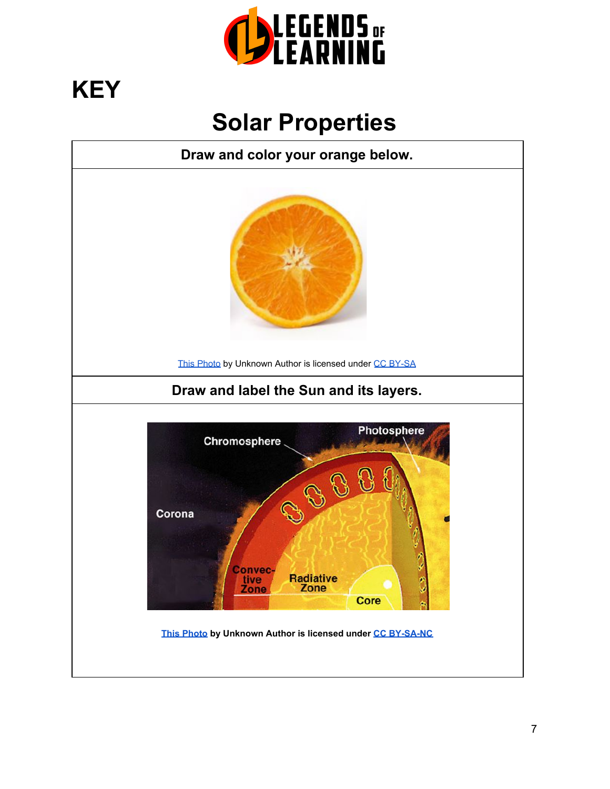

# **KEY**

## **Solar Properties**

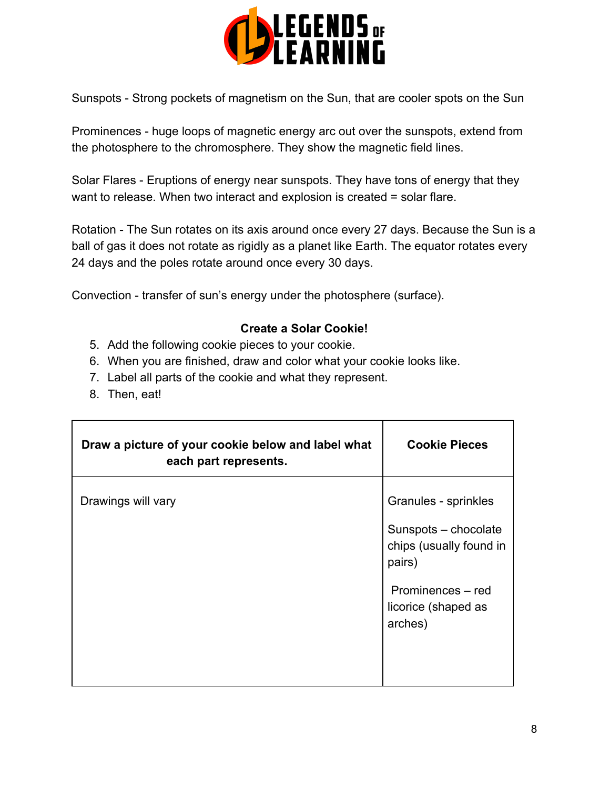

Sunspots - Strong pockets of magnetism on the Sun, that are cooler spots on the Sun

Prominences - huge loops of magnetic energy arc out over the sunspots, extend from the photosphere to the chromosphere. They show the magnetic field lines.

Solar Flares - Eruptions of energy near sunspots. They have tons of energy that they want to release. When two interact and explosion is created = solar flare.

Rotation - The Sun rotates on its axis around once every 27 days. Because the Sun is a ball of gas it does not rotate as rigidly as a planet like Earth. The equator rotates every 24 days and the poles rotate around once every 30 days.

Convection - transfer of sun's energy under the photosphere (surface).

#### **Create a Solar Cookie!**

- 5. Add the following cookie pieces to your cookie.
- 6. When you are finished, draw and color what your cookie looks like.
- 7. Label all parts of the cookie and what they represent.
- 8. Then, eat!

| Draw a picture of your cookie below and label what<br>each part represents. | <b>Cookie Pieces</b>                                                              |
|-----------------------------------------------------------------------------|-----------------------------------------------------------------------------------|
| Drawings will vary                                                          | Granules - sprinkles<br>Sunspots - chocolate<br>chips (usually found in<br>pairs) |
|                                                                             | Prominences - red<br>licorice (shaped as<br>arches)                               |